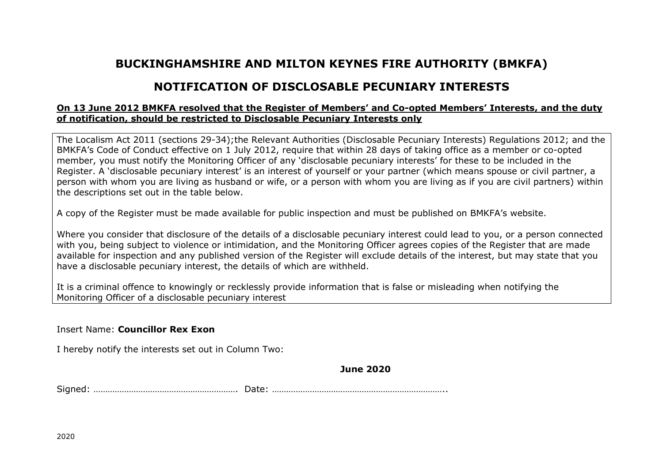## **BUCKINGHAMSHIRE AND MILTON KEYNES FIRE AUTHORITY (BMKFA)**

## **NOTIFICATION OF DISCLOSABLE PECUNIARY INTERESTS**

## **On 13 June 2012 BMKFA resolved that the Register of Members' and Co-opted Members' Interests, and the duty of notification, should be restricted to Disclosable Pecuniary Interests only**

The Localism Act 2011 (sections 29-34);the Relevant Authorities (Disclosable Pecuniary Interests) Regulations 2012; and the BMKFA's Code of Conduct effective on 1 July 2012, require that within 28 days of taking office as a member or co-opted member, you must notify the Monitoring Officer of any 'disclosable pecuniary interests' for these to be included in the Register. A 'disclosable pecuniary interest' is an interest of yourself or your partner (which means spouse or civil partner, a person with whom you are living as husband or wife, or a person with whom you are living as if you are civil partners) within the descriptions set out in the table below.

A copy of the Register must be made available for public inspection and must be published on BMKFA's website.

Where you consider that disclosure of the details of a disclosable pecuniary interest could lead to you, or a person connected with you, being subject to violence or intimidation, and the Monitoring Officer agrees copies of the Register that are made available for inspection and any published version of the Register will exclude details of the interest, but may state that you have a disclosable pecuniary interest, the details of which are withheld.

It is a criminal offence to knowingly or recklessly provide information that is false or misleading when notifying the Monitoring Officer of a disclosable pecuniary interest

Insert Name: **Councillor Rex Exon**

I hereby notify the interests set out in Column Two:

**June 2020**

Signed: ……………………………………………………. Date: ………………………………………………………………..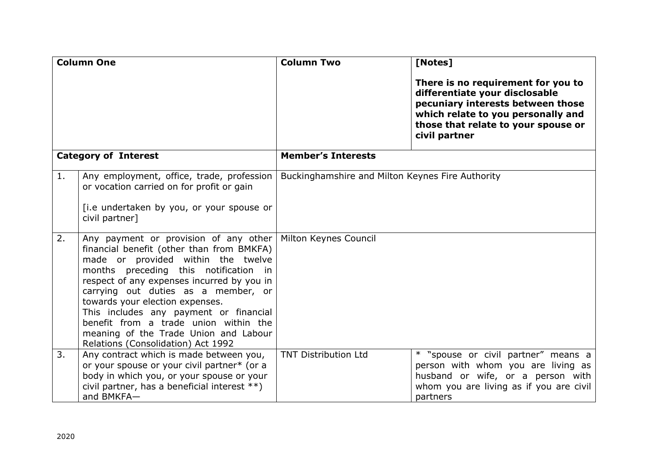| <b>Column One</b>           |                                                                                                                                                                                                                                                                                                                                                                                                                                                                                     | <b>Column Two</b>                                | [Notes]                                                                                                                                                                                                 |
|-----------------------------|-------------------------------------------------------------------------------------------------------------------------------------------------------------------------------------------------------------------------------------------------------------------------------------------------------------------------------------------------------------------------------------------------------------------------------------------------------------------------------------|--------------------------------------------------|---------------------------------------------------------------------------------------------------------------------------------------------------------------------------------------------------------|
|                             |                                                                                                                                                                                                                                                                                                                                                                                                                                                                                     |                                                  | There is no requirement for you to<br>differentiate your disclosable<br>pecuniary interests between those<br>which relate to you personally and<br>those that relate to your spouse or<br>civil partner |
| <b>Category of Interest</b> |                                                                                                                                                                                                                                                                                                                                                                                                                                                                                     | <b>Member's Interests</b>                        |                                                                                                                                                                                                         |
| 1.                          | Any employment, office, trade, profession<br>or vocation carried on for profit or gain<br>[i.e undertaken by you, or your spouse or<br>civil partner]                                                                                                                                                                                                                                                                                                                               | Buckinghamshire and Milton Keynes Fire Authority |                                                                                                                                                                                                         |
| 2.                          | Any payment or provision of any other   Milton Keynes Council<br>financial benefit (other than from BMKFA)<br>made or provided within the twelve<br>months preceding this notification in<br>respect of any expenses incurred by you in<br>carrying out duties as a member, or<br>towards your election expenses.<br>This includes any payment or financial<br>benefit from a trade union within the<br>meaning of the Trade Union and Labour<br>Relations (Consolidation) Act 1992 |                                                  |                                                                                                                                                                                                         |
| 3.                          | Any contract which is made between you,<br>or your spouse or your civil partner* (or a<br>body in which you, or your spouse or your<br>civil partner, has a beneficial interest **)<br>and BMKFA-                                                                                                                                                                                                                                                                                   | <b>TNT Distribution Ltd</b>                      | * "spouse or civil partner" means a<br>person with whom you are living as<br>husband or wife, or a person with<br>whom you are living as if you are civil<br>partners                                   |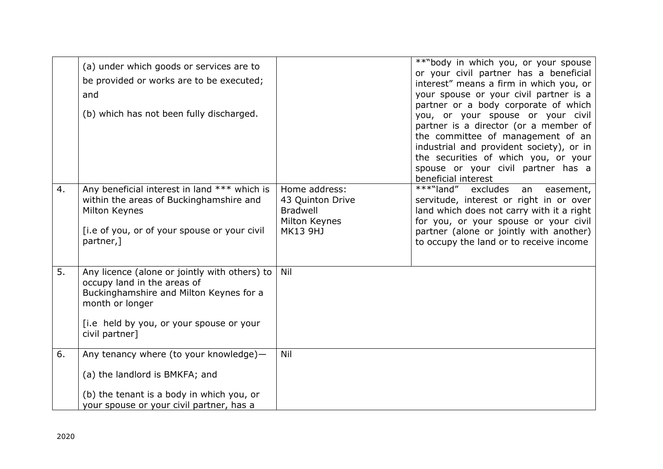|    | (a) under which goods or services are to<br>be provided or works are to be executed;<br>and<br>(b) which has not been fully discharged.                                                                  |                                                                                          | **"body in which you, or your spouse<br>or your civil partner has a beneficial<br>interest" means a firm in which you, or<br>your spouse or your civil partner is a<br>partner or a body corporate of which<br>you, or your spouse or your civil<br>partner is a director (or a member of<br>the committee of management of an<br>industrial and provident society), or in<br>the securities of which you, or your<br>spouse or your civil partner has a<br>beneficial interest |
|----|----------------------------------------------------------------------------------------------------------------------------------------------------------------------------------------------------------|------------------------------------------------------------------------------------------|---------------------------------------------------------------------------------------------------------------------------------------------------------------------------------------------------------------------------------------------------------------------------------------------------------------------------------------------------------------------------------------------------------------------------------------------------------------------------------|
| 4. | Any beneficial interest in land *** which is<br>within the areas of Buckinghamshire and<br>Milton Keynes<br>[i.e of you, or of your spouse or your civil<br>partner,]                                    | Home address:<br>43 Quinton Drive<br><b>Bradwell</b><br>Milton Keynes<br><b>MK13 9HJ</b> | ***"land"<br>excludes<br>easement,<br>an<br>servitude, interest or right in or over<br>land which does not carry with it a right<br>for you, or your spouse or your civil<br>partner (alone or jointly with another)<br>to occupy the land or to receive income                                                                                                                                                                                                                 |
| 5. | Any licence (alone or jointly with others) to<br>occupy land in the areas of<br>Buckinghamshire and Milton Keynes for a<br>month or longer<br>[i.e held by you, or your spouse or your<br>civil partner] | Nil                                                                                      |                                                                                                                                                                                                                                                                                                                                                                                                                                                                                 |
| 6. | Any tenancy where (to your knowledge)-<br>(a) the landlord is BMKFA; and<br>(b) the tenant is a body in which you, or<br>your spouse or your civil partner, has a                                        | Nil                                                                                      |                                                                                                                                                                                                                                                                                                                                                                                                                                                                                 |